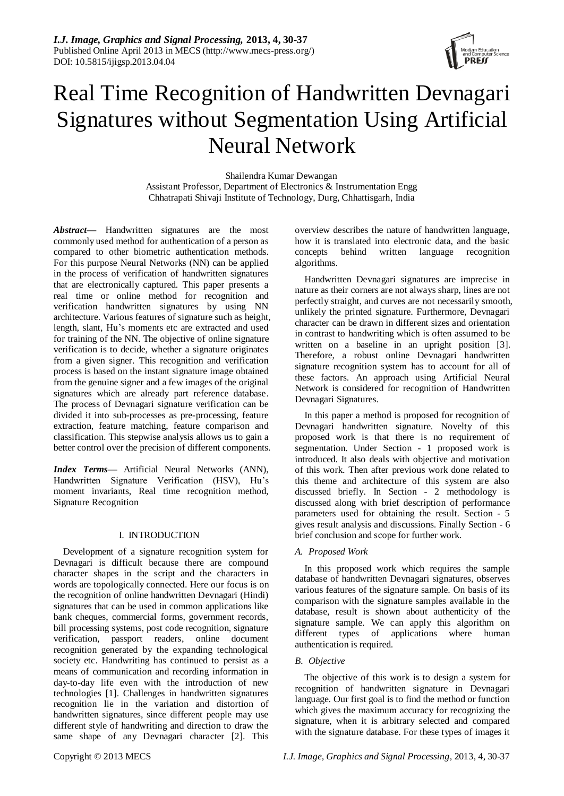

# Real Time Recognition of Handwritten Devnagari Signatures without Segmentation Using Artificial Neural Network

Shailendra Kumar Dewangan Assistant Professor, Department of Electronics & Instrumentation Engg Chhatrapati Shivaji Institute of Technology, Durg, Chhattisgarh, India

*Abstract—* Handwritten signatures are the most commonly used method for authentication of a person as compared to other biometric authentication methods. For this purpose Neural Networks (NN) can be applied in the process of verification of handwritten signatures that are electronically captured. This paper presents a real time or online method for recognition and verification handwritten signatures by using NN architecture. Various features of signature such as height, length, slant, Hu's moments etc are extracted and used for training of the NN. The objective of online signature verification is to decide, whether a signature originates from a given signer. This recognition and verification process is based on the instant signature image obtained from the genuine signer and a few images of the original signatures which are already part reference database. The process of Devnagari signature verification can be divided it into sub-processes as pre-processing, feature extraction, feature matching, feature comparison and classification. This stepwise analysis allows us to gain a better control over the precision of different components.

*Index Terms—* Artificial Neural Networks (ANN), Handwritten Signature Verification (HSV), Hu's moment invariants, Real time recognition method, Signature Recognition

## I. INTRODUCTION

Development of a signature recognition system for Devnagari is difficult because there are compound character shapes in the script and the characters in words are topologically connected. Here our focus is on the recognition of online handwritten Devnagari (Hindi) signatures that can be used in common applications like bank cheques, commercial forms, government records, bill processing systems, post code recognition, signature verification, passport readers, online document recognition generated by the expanding technological society etc. Handwriting has continued to persist as a means of communication and recording information in day-to-day life even with the introduction of new technologies [1]. Challenges in handwritten signatures recognition lie in the variation and distortion of handwritten signatures, since different people may use different style of handwriting and direction to draw the same shape of any Devnagari character [2]. This

overview describes the nature of handwritten language, how it is translated into electronic data, and the basic concepts behind written language recognition algorithms.

Handwritten Devnagari signatures are imprecise in nature as their corners are not always sharp, lines are not perfectly straight, and curves are not necessarily smooth, unlikely the printed signature. Furthermore, Devnagari character can be drawn in different sizes and orientation in contrast to handwriting which is often assumed to be written on a baseline in an upright position [3]. Therefore, a robust online Devnagari handwritten signature recognition system has to account for all of these factors. An approach using Artificial Neural Network is considered for recognition of Handwritten Devnagari Signatures.

In this paper a method is proposed for recognition of Devnagari handwritten signature. Novelty of this proposed work is that there is no requirement of segmentation. Under Section - 1 proposed work is introduced. It also deals with objective and motivation of this work. Then after previous work done related to this theme and architecture of this system are also discussed briefly. In Section - 2 methodology is discussed along with brief description of performance parameters used for obtaining the result. Section - 5 gives result analysis and discussions. Finally Section - 6 brief conclusion and scope for further work.

# *A. Proposed Work*

In this proposed work which requires the sample database of handwritten Devnagari signatures, observes various features of the signature sample. On basis of its comparison with the signature samples available in the database, result is shown about authenticity of the signature sample. We can apply this algorithm on different types of applications where human authentication is required.

# *B. Objective*

The objective of this work is to design a system for recognition of handwritten signature in Devnagari language. Our first goal is to find the method or function which gives the maximum accuracy for recognizing the signature, when it is arbitrary selected and compared with the signature database. For these types of images it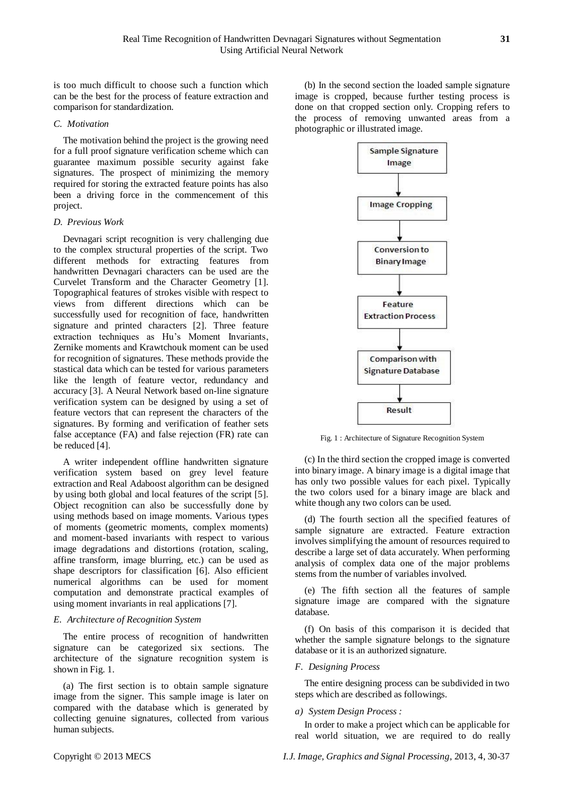is too much difficult to choose such a function which can be the best for the process of feature extraction and comparison for standardization.

# *C. Motivation*

The motivation behind the project is the growing need for a full proof signature verification scheme which can guarantee maximum possible security against fake signatures. The prospect of minimizing the memory required for storing the extracted feature points has also been a driving force in the commencement of this project.

## *D. Previous Work*

Devnagari script recognition is very challenging due to the complex structural properties of the script. Two different methods for extracting features from handwritten Devnagari characters can be used are the Curvelet Transform and the Character Geometry [1]. Topographical features of strokes visible with respect to views from different directions which can be successfully used for recognition of face, handwritten signature and printed characters [2]. Three feature extraction techniques as Hu's Moment Invariants, Zernike moments and Krawtchouk moment can be used for recognition of signatures. These methods provide the stastical data which can be tested for various parameters like the length of feature vector, redundancy and accuracy [3]. A Neural Network based on-line signature verification system can be designed by using a set of feature vectors that can represent the characters of the signatures. By forming and verification of feather sets false acceptance (FA) and false rejection (FR) rate can be reduced [4].

A writer independent offline handwritten signature verification system based on grey level feature extraction and Real Adaboost algorithm can be designed by using both global and local features of the script [5]. Object recognition can also be successfully done by using methods based on image moments. Various types of moments (geometric moments, complex moments) and moment-based invariants with respect to various image degradations and distortions (rotation, scaling, affine transform, image blurring, etc.) can be used as shape descriptors for classification [6]. Also efficient numerical algorithms can be used for moment computation and demonstrate practical examples of using moment invariants in real applications [7].

## *E. Architecture of Recognition System*

The entire process of recognition of handwritten signature can be categorized six sections. The architecture of the signature recognition system is shown in Fig. 1.

(a) The first section is to obtain sample signature image from the signer. This sample image is later on compared with the database which is generated by collecting genuine signatures, collected from various human subjects.

(b) In the second section the loaded sample signature image is cropped, because further testing process is done on that cropped section only. Cropping refers to the process of removing unwanted areas from a photographic or illustrate[d image.](http://en.wikipedia.org/wiki/Image)



Fig. 1 : Architecture of Signature Recognition System

(c) In the third section the cropped image is converted into binary image. A binary image is [a digital image](http://en.wikipedia.org/wiki/Digital_image) that has only two possible values for each [pixel.](http://en.wikipedia.org/wiki/Pixel) Typically the two colors used for a binary image are black and white though any two colors can be used.

(d) The fourth section all the specified features of sample signature are extracted. Feature extraction involves simplifying the amount of resources required to describe a large set of data accurately. When performing analysis of complex data one of the major problems stems from the number of variables involved.

(e) The fifth section all the features of sample signature image are compared with the signature database.

(f) On basis of this comparison it is decided that whether the sample signature belongs to the signature database or it is an authorized signature.

# *F. Designing Process*

The entire designing process can be subdivided in two steps which are described as followings.

## *a) System Design Process :*

In order to make a project which can be applicable for real world situation, we are required to do really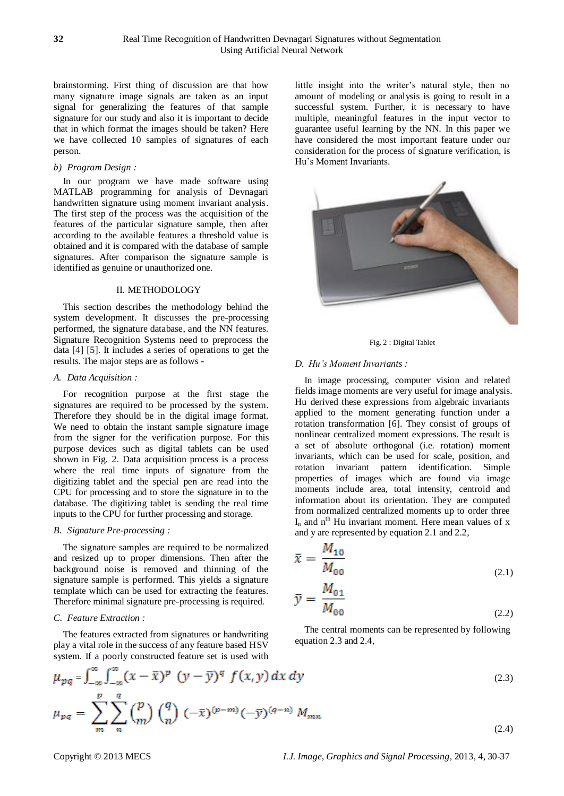brainstorming. First thing of discussion are that how many signature image signals are taken as an input signal for generalizing the features of that sample signature for our study and also it is important to decide that in which format the images should be taken? Here we have collected 10 samples of signatures of each person.

## *b) Program Design :*

In our program we have made software using MATLAB programming for analysis of Devnagari handwritten signature using moment invariant analysis. The first step of the process was the acquisition of the features of the particular signature sample, then after according to the available features a threshold value is obtained and it is compared with the database of sample signatures. After comparison the signature sample is identified as genuine or unauthorized one.

# II. METHODOLOGY

This section describes the methodology behind the system development. It discusses the pre-processing performed, the signature database, and the NN features. Signature Recognition Systems need to preprocess the data [4] [5]. It includes a series of operations to get the results. The major steps are as follows -

# *A. Data Acquisition :*

For recognition purpose at the first stage the signatures are required to be processed by the system. Therefore they should be in the digital image format. We need to obtain the instant sample signature image from the signer for the verification purpose. For this purpose devices such as digital tablets can be used shown in Fig. 2. Data acquisition process is a process where the real time inputs of signature from the digitizing tablet and the special pen are read into the CPU for processing and to store the signature in to the database. The digitizing tablet is sending the real time inputs to the CPU for further processing and storage.

## *B. Signature Pre-processing :*

The signature samples are required to be normalized and resized up to proper dimensions. Then after the background noise is removed and thinning of the signature sample is performed. This yields a signature template which can be used for extracting the features. Therefore minimal signature pre-processing is required.

#### *C. Feature Extraction :*

The features extracted from signatures or handwriting play a vital role in the success of any feature based HSV system. If a poorly constructed feature set is used with

little insight into the writer's natural style, then no amount of modeling or analysis is going to result in a successful system. Further, it is necessary to have multiple, meaningful features in the input vector to guarantee useful learning by the NN. In this paper we have considered the most important feature under our consideration for the process of signature verification, is Hu's Moment Invariants.



Fig. 2 : Digital Tablet

#### *D. Hu's Moment Invariants :*

In [image processing,](http://en.wikipedia.org/wiki/Image_processing) [computer vision](http://en.wikipedia.org/wiki/Computer_vision) and related fields image moments are very useful for image analysis. Hu derived these expressions from algebraic invariants applied to the moment generating function under a rotation transformation [6]. They consist of groups of nonlinear centralized moment expressions. The result is a set of absolute orthogonal (i.e. rotation) moment invariants, which can be used for scale, position, and rotation invariant pattern identification. [Simple](http://en.wikipedia.org/wiki/Image_moment#Examples)  [properties of images](http://en.wikipedia.org/wiki/Image_moment#Examples) which are found via image moments include area, total intensity, [centroid](http://en.wikipedia.org/wiki/Centroid) and [information about its orientation.](http://en.wikipedia.org/wiki/Image_moments#Examples_2) They are computed from normalized centralized moments up to order three  $I_n$  and n<sup>th</sup> Hu invariant moment. Here mean values of x and y are represented by equation 2.1 and 2.2,

$$
\bar{x} = \frac{M_{10}}{M_{00}} \tag{2.1}
$$

$$
\bar{y} = \frac{M_{01}}{M_{00}} \tag{2.2}
$$

The [central moments](http://en.wikipedia.org/wiki/Moment_about_the_mean) can be represented by following equation 2.3 and 2.4,

$$
\mu_{pq} = \int_{-\infty}^{\infty} \int_{-\infty}^{\infty} (x - \bar{x})^p (y - \bar{y})^q f(x, y) dx dy
$$
\n(2.3)

$$
\mu_{pq} = \sum_{m}^{\cdot} \sum_{n}^{n} {p \choose m} {q \choose n} (-\bar{x})^{(p-m)} (-\bar{y})^{(q-n)} M_{mn}
$$
\n(2.4)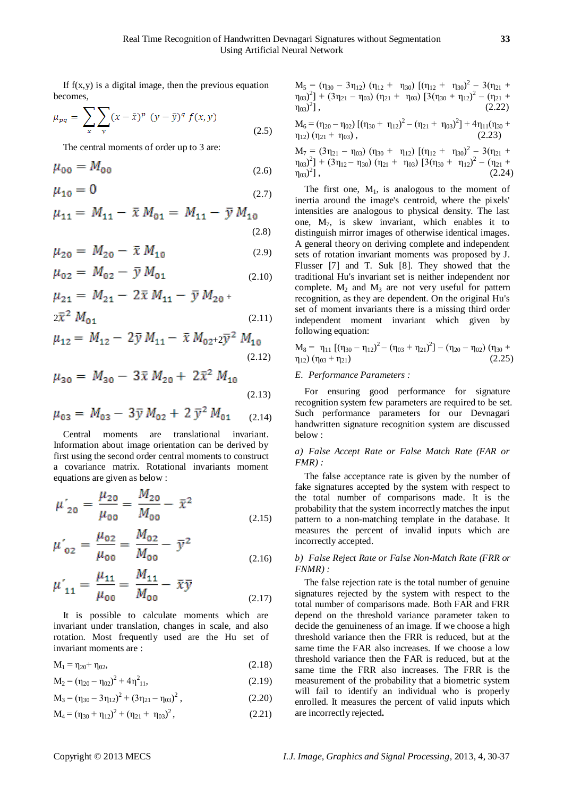If  $f(x,y)$  is a digital image, then the previous equation becomes,

$$
\mu_{pq} = \sum_{x} \sum_{y} (x - \bar{x})^p (y - \bar{y})^q f(x, y)
$$
\n(2.5)

The central moments of order up to 3 are:

$$
\mu_{00} = M_{00} \tag{2.6}
$$

$$
\mu_{10} = 0 \tag{2.7}
$$

$$
\mu_{11} = M_{11} - \bar{x} M_{01} = M_{11} - \bar{y} M_{10}
$$
\n(2.8)

$$
\mu_{20} = M_{20} - \bar{x} M_{10} \tag{2.9}
$$

$$
\mu_{02} = M_{02} - \bar{y} M_{01} \tag{2.10}
$$

$$
\mu_{21} = M_{21} - 2x M_{11} - y M_{20} + 2\bar{x}^2 M_{01}
$$
\n(2.11)

$$
\mu_{12} = M_{12} - 2\bar{y} M_{11} - \bar{x} M_{02+2} \bar{y}^2 M_{10}
$$
\n(2.12)

$$
\mu_{30} = M_{30} - 3\bar{x} M_{20} + 2\bar{x}^2 M_{10}
$$
\n(2.13)

$$
\mu_{03} = M_{03} - 3\bar{y} M_{02} + 2\bar{y}^2 M_{01} \quad (2.14)
$$

Central moments are [translational invariant.](http://en.wikipedia.org/wiki/Translational_invariance)  Information about image orientation can be derived by first using the second order central moments to construct a [covariance matrix.](http://en.wikipedia.org/wiki/Covariance_matrix) Rotational invariants moment equations are given as below :

$$
\mu'_{20} = \frac{\mu_{20}}{\mu_{00}} = \frac{M_{20}}{M_{00}} - \bar{x}^2
$$
\n(2.15)

$$
\mu'_{02} = \frac{\mu_{02}}{\mu_{00}} = \frac{M_{02}}{M_{00}} - \bar{y}^2
$$
\n(2.16)

$$
\mu'_{11} = \frac{\mu_{11}}{\mu_{00}} = \frac{M_{11}}{M_{00}} - \bar{x}\bar{y}
$$
\n(2.17)

٠.

It is possible to calculate moments which are [invariant](http://en.wikipedia.org/wiki/Invariant_%28mathematics%29) under [translation,](http://en.wikipedia.org/wiki/Translation_%28geometry%29) changes in [scale,](http://en.wikipedia.org/wiki/Scale_%28ratio%29) and also [rotation.](http://en.wikipedia.org/wiki/Rotation) Most frequently used are the Hu set of invariant moments are :

$$
M_1 = \eta_{20} + \eta_{02}, \tag{2.18}
$$

$$
M_2 = (\eta_{20} - \eta_{02})^2 + 4\eta_{11}^2,\tag{2.19}
$$

$$
M_3 = (\eta_{30} - 3\eta_{12})^2 + (3\eta_{21} - \eta_{03})^2, \qquad (2.20)
$$

$$
M_4 = (\eta_{30} + \eta_{12})^2 + (\eta_{21} + \eta_{03})^2, \qquad (2.21)
$$

 $M_5 = (\eta_{30} - 3\eta_{12}) (\eta_{12} + \eta_{30}) [(\eta_{12} + \eta_{30})^2 - 3(\eta_{21} +$  $(\eta_{03})^2$ ] + (3 $\eta_{21}$  –  $(\eta_{03})$  ( $(\eta_{21}$  +  $(\eta_{03})$ ) [3 $(\eta_{30}$  +  $(\eta_{12})^2$  – ( $(\eta_{21}$  +  $\eta_{03}$ )<sup>2</sup>  $(2.22)$ 

 $M_6 = (\eta_{20} - \eta_{02}) [(\eta_{30} + \eta_{12})^2 - (\eta_{21} + \eta_{03})^2] + 4\eta_{11}(\eta_{30} +$  $\eta_{12}$ ) ( $\eta_{21}$  +  $\eta_{03}$ ), (2.23)

 $M_7 = (3\eta_{21} - \eta_{03}) (\eta_{30} + \eta_{12}) [(\eta_{12} + \eta_{30})^2 - 3(\eta_{21} +$  $(\eta_{03})^2$ ] + (3 $\eta_{12}$  –  $(\eta_{30})$  ( $(\eta_{21}$  +  $(\eta_{03})$ ) [3 $(\eta_{30}$  +  $(\eta_{12})^2$  – ( $(\eta_{21}$  +  $n_{03}$ <sup>2</sup>  $\,$ ], (2.24)

The first one,  $M_1$ , is analogous to the moment of [inertia](http://en.wikipedia.org/wiki/Moment_of_inertia) around the image's centroid, where the pixels' intensities are analogous to physical density. The last one, M7, is skew invariant, which enables it to distinguish mirror images of otherwise identical images. A general theory on deriving complete and independent sets of rotation invariant moments was proposed by J. Flusser [7] and T. Suk [8]. They showed that the traditional Hu's invariant set is neither independent nor complete.  $M_2$  and  $M_3$  are not very useful for pattern recognition, as they are dependent. On the original Hu's set of moment invariants there is a missing third order independent moment invariant which given by following equation:

$$
M_8 = \eta_{11} [(\eta_{30} - \eta_{12})^2 - (\eta_{03} + \eta_{21})^2] - (\eta_{20} - \eta_{02}) (\eta_{30} + \eta_{12}) (\eta_{03} + \eta_{21})
$$
 (2.25)

#### *E. Performance Parameters :*

For ensuring good performance for signature recognition system few parameters are required to be set. Such performance parameters for our Devnagari handwritten signature recognition system are discussed below :

# *a) False Accept Rate or False Match Rate (FAR or FMR) :*

The false acceptance rate is given by the number of fake signatures accepted by the system with respect to the total number of comparisons made. It is the probability that the system incorrectly matches the input pattern to a non-matching template in the database. It measures the percent of invalid inputs which are incorrectly accepted.

# *b) False Reject Rate or False Non-Match Rate (FRR or FNMR) :*

The false rejection rate is the total number of genuine signatures rejected by the system with respect to the total number of comparisons made. Both FAR and FRR depend on the threshold variance parameter taken to decide the genuineness of an image. If we choose a high threshold variance then the FRR is reduced, but at the same time the FAR also increases. If we choose a low threshold variance then the FAR is reduced, but at the same time the FRR also increases. The FRR is the measurement of the probability that a biometric system will fail to identify an individual who is properly enrolled. It measures the percent of valid inputs which are incorrectly rejected**.**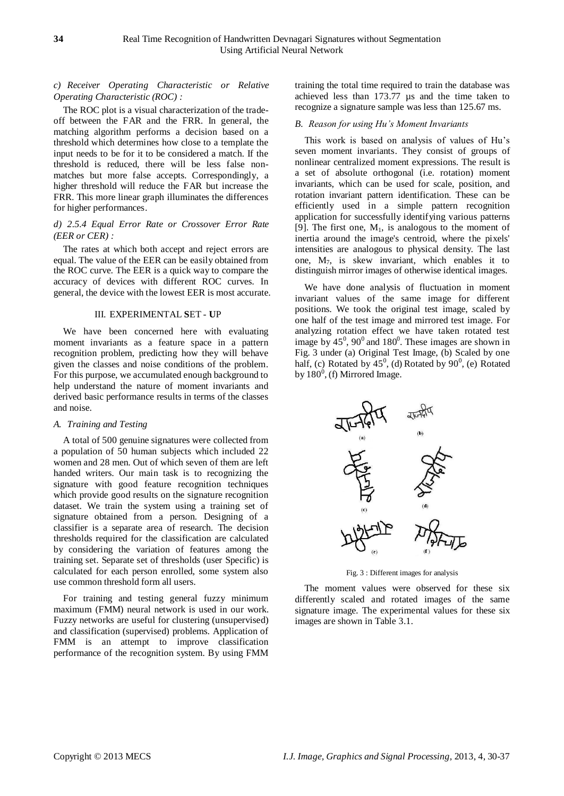# *c) [Receiver Operating Characteristic](http://en.wikipedia.org/wiki/Receiver_operating_characteristic) or Relative Operating Characteristic (ROC) :*

The ROC plot is a visual characterization of the tradeoff between the FAR and the FRR. In general, the matching algorithm performs a decision based on a threshold which determines how close to a template the input needs to be for it to be considered a match. If the threshold is reduced, there will be less false nonmatches but more false accepts. Correspondingly, a higher threshold will reduce the FAR but increase the FRR. This more linear graph illuminates the differences for higher performances.

# *d) 2.5.4 Equal Error Rate or Crossover Error Rate (EER or CER) :*

The rates at which both accept and reject errors are equal. The value of the EER can be easily obtained from the ROC curve. The EER is a quick way to compare the accuracy of devices with different ROC curves. In general, the device with the lowest EER is most accurate.

# III. EXPERIMENTAL **S**ET - **U**P

We have been concerned here with evaluating moment invariants as a feature space in a pattern recognition problem, predicting how they will behave given the classes and noise conditions of the problem. For this purpose, we accumulated enough background to help understand the nature of moment invariants and derived basic performance results in terms of the classes and noise.

## *A. Training and Testing*

A total of 500 genuine signatures were collected from a population of 50 human subjects which included 22 women and 28 men. Out of which seven of them are left handed writers. Our main task is to recognizing the signature with good feature recognition techniques which provide good results on the signature recognition dataset. We train the system using a training set of signature obtained from a person. Designing of a classifier is a separate area of research. The decision thresholds required for the classification are calculated by considering the variation of features among the training set. Separate set of thresholds (user Specific) is calculated for each person enrolled, some system also use common threshold form all users.

For training and testing general fuzzy minimum maximum (FMM) neural network is used in our work. Fuzzy networks are useful for clustering (unsupervised) and classification (supervised) problems. Application of FMM is an attempt to improve classification performance of the recognition system. By using FMM

training the total time required to train the database was achieved less than 173.77 µs and the time taken to recognize a signature sample was less than 125.67 ms.

# *B. Reason for using Hu's Moment Invariants*

This work is based on analysis of values of Hu's seven moment invariants. They consist of groups of nonlinear centralized moment expressions. The result is a set of absolute orthogonal (i.e. rotation) moment invariants, which can be used for scale, position, and rotation invariant pattern identification. These can be efficiently used in a simple pattern recognition application for successfully identifying various patterns [9]. The first one,  $M_1$ , is analogous to the moment of [inertia](http://en.wikipedia.org/wiki/Moment_of_inertia) around the image's centroid, where the pixels' intensities are analogous to physical density. The last one, M7, is skew invariant, which enables it to distinguish mirror images of otherwise identical images.

We have done analysis of fluctuation in moment invariant values of the same image for different positions. We took the original test image, scaled by one half of the test image and mirrored test image. For analyzing rotation effect we have taken rotated test image by  $45^{\circ}$ ,  $90^{\circ}$  and  $180^{\circ}$ . These images are shown in Fig. 3 under (a) Original Test Image, (b) Scaled by one half, (c) Rotated by  $45^0$ , (d) Rotated by  $90^0$ , (e) Rotated by  $180^0$ , (f) Mirrored Image.



Fig. 3 : Different images for analysis

The moment values were observed for these six differently scaled and rotated images of the same signature image. The experimental values for these six images are shown in Table 3.1.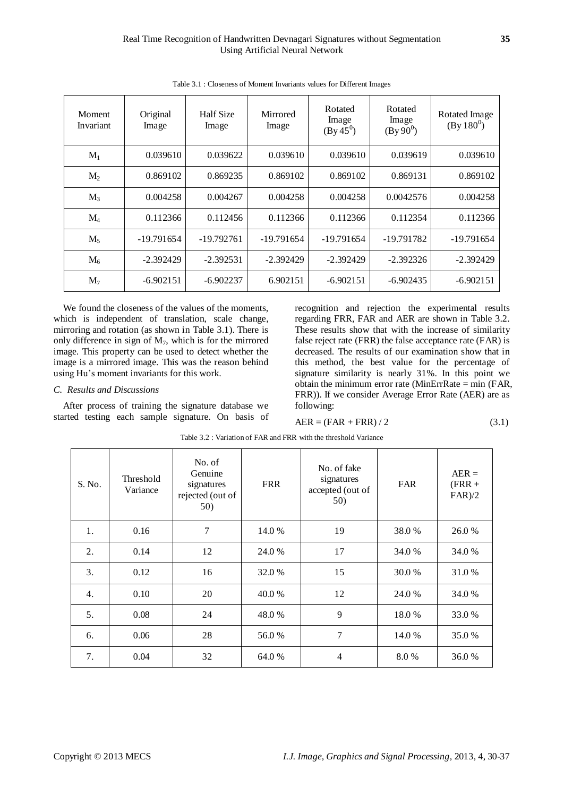| Moment<br>Invariant | Original<br>Image | Half Size<br>Image | Mirrored<br>Image | Rotated<br>Image<br>$(By 45^0)$ | Rotated<br>Image<br>$(By 90^0)$ | Rotated Image<br>$(By 180^0)$ |
|---------------------|-------------------|--------------------|-------------------|---------------------------------|---------------------------------|-------------------------------|
| $M_1$               | 0.039610          | 0.039622           | 0.039610          | 0.039610                        | 0.039619                        | 0.039610                      |
| $M_2$               | 0.869102          | 0.869235           | 0.869102          | 0.869102                        | 0.869131                        | 0.869102                      |
| $M_3$               | 0.004258          | 0.004267           | 0.004258          | 0.004258                        | 0.0042576                       | 0.004258                      |
| $M_4$               | 0.112366          | 0.112456           | 0.112366          | 0.112366                        | 0.112354                        | 0.112366                      |
| $M_{5}$             | -19.791654        | $-19.792761$       | $-19.791654$      | -19.791654                      | -19.791782                      | $-19.791654$                  |
| $M_6$               | $-2.392429$       | $-2.392531$        | $-2.392429$       | $-2.392429$                     | $-2.392326$                     | $-2.392429$                   |
| $M_7$               | $-6.902151$       | $-6.902237$        | 6.902151          | $-6.902151$                     | $-6.902435$                     | -6.902151                     |

Table 3.1 : Closeness of Moment Invariants values for Different Images

We found the closeness of the values of the moments, which is independent of translation, scale change, mirroring and rotation (as shown in Table 3.1). There is only difference in sign of  $M_7$ , which is for the mirrored image. This property can be used to detect whether the image is a mirrored image. This was the reason behind using Hu's moment invariants for this work.

# *C. Results and Discussions*

After process of training the signature database we started testing each sample signature. On basis of recognition and rejection the experimental results regarding FRR, FAR and AER are shown in Table 3.2. These results show that with the increase of similarity false reject rate (FRR) the false acceptance rate (FAR) is decreased. The results of our examination show that in this method, the best value for the percentage of signature similarity is nearly 31%. In this point we obtain the minimum error rate (MinErrRate = min  $(FAR,$ FRR)). If we consider Average Error Rate (AER) are as following:

$$
AER = (FAR + FRR) / 2 \tag{3.1}
$$

| S. No. | <b>Threshold</b><br>Variance | No. of<br>Genuine<br>signatures<br>rejected (out of<br>50) | <b>FRR</b> | No. of fake<br>signatures<br>accepted (out of<br>50) | FAR    | $AER =$<br>$(FRR +$<br>FAR)/2 |
|--------|------------------------------|------------------------------------------------------------|------------|------------------------------------------------------|--------|-------------------------------|
| 1.     | 0.16                         | 7                                                          | 14.0 %     | 19                                                   | 38.0 % | 26.0%                         |
| 2.     | 0.14                         | 12                                                         | 24.0 %     | 17                                                   | 34.0 % | 34.0 %                        |
| 3.     | 0.12                         | 16                                                         | 32.0 %     | 15                                                   | 30.0 % | 31.0%                         |
| 4.     | 0.10                         | 20                                                         | 40.0 %     | 12                                                   | 24.0 % | 34.0 %                        |
| 5.     | 0.08                         | 24                                                         | 48.0 %     | 9                                                    | 18.0%  | 33.0 %                        |
| 6.     | 0.06                         | 28                                                         | 56.0 %     | 7                                                    | 14.0 % | 35.0 %                        |
| 7.     | 0.04                         | 32                                                         | 64.0 %     | $\overline{4}$                                       | 8.0%   | 36.0 %                        |

Table 3.2 : Variation of FAR and FRR with the threshold Variance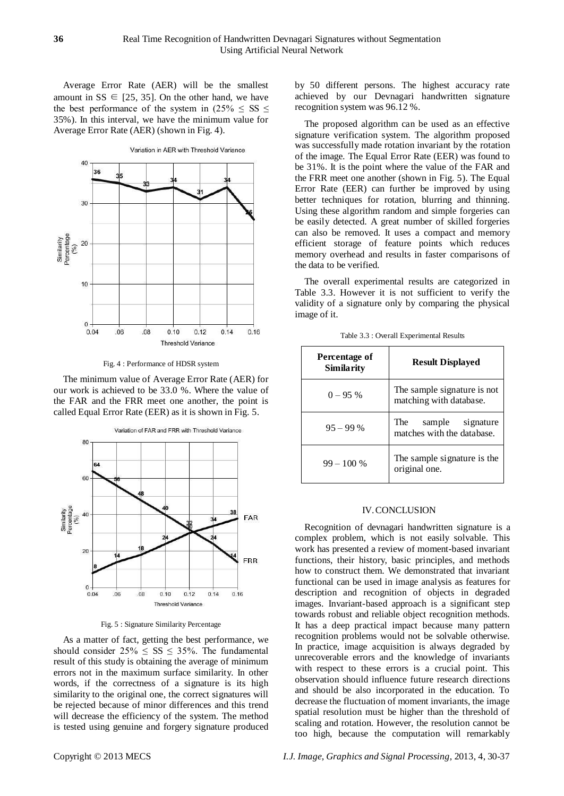Average Error Rate (AER) will be the smallest amount in  $SS \in [25, 35]$ . On the other hand, we have the best performance of the system in (25%  $\leq$  SS  $\leq$ 35%). In this interval, we have the minimum value for Average Error Rate (AER) (shown in Fig. 4).



Fig. 4 : Performance of HDSR system

The minimum value of Average Error Rate (AER) for our work is achieved to be 33.0 %. Where the value of the FAR and the FRR meet one another, the point is called Equal Error Rate (EER) as it is shown in Fig. 5.



Fig. 5 : Signature Similarity Percentage

As a matter of fact, getting the best performance, we should consider  $25\% \leq SS \leq 35\%$ . The fundamental result of this study is obtaining the average of minimum errors not in the maximum surface similarity. In other words, if the correctness of a signature is its high similarity to the original one, the correct signatures will be rejected because of minor differences and this trend will decrease the efficiency of the system. The method is tested using genuine and forgery signature produced

by 50 different persons. The highest accuracy rate achieved by our Devnagari handwritten signature recognition system was 96.12 %.

The proposed algorithm can be used as an effective signature verification system. The algorithm proposed was successfully made rotation invariant by the rotation of the image. The Equal Error Rate (EER) was found to be 31%. It is the point where the value of the FAR and the FRR meet one another (shown in Fig. 5). The Equal Error Rate (EER) can further be improved by using better techniques for rotation, blurring and thinning. Using these algorithm random and simple forgeries can be easily detected. A great number of skilled forgeries can also be removed. It uses a compact and memory efficient storage of feature points which reduces memory overhead and results in faster comparisons of the data to be verified.

The overall experimental results are categorized in Table 3.3. However it is not sufficient to verify the validity of a signature only by comparing the physical image of it.

| Percentage of<br><b>Similarity</b> | <b>Result Displayed</b>                                |
|------------------------------------|--------------------------------------------------------|
| $0 - 95\%$                         | The sample signature is not<br>matching with database. |
| $95 - 99\%$                        | The<br>sample signature<br>matches with the database.  |
| $99 - 100 %$                       | The sample signature is the<br>original one.           |

Table 3.3 : Overall Experimental Results

## IV.CONCLUSION

Recognition of devnagari handwritten signature is a complex problem, which is not easily solvable. This work has presented a review of moment-based invariant functions, their history, basic principles, and methods how to construct them. We demonstrated that invariant functional can be used in image analysis as features for description and recognition of objects in degraded images. Invariant-based approach is a significant step towards robust and reliable object recognition methods. It has a deep practical impact because many pattern recognition problems would not be solvable otherwise. In practice, image acquisition is always degraded by unrecoverable errors and the knowledge of invariants with respect to these errors is a crucial point. This observation should influence future research directions and should be also incorporated in the education. To decrease the fluctuation of moment invariants, the image spatial resolution must be higher than the threshold of scaling and rotation. However, the resolution cannot be too high, because the computation will remarkably